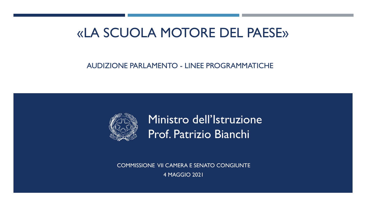# «LA SCUOLA MOTORE DEL PAESE»

### AUDIZIONE PARLAMENTO - LINEE PROGRAMMATICHE



Ministro dell'Istruzione Prof. Patrizio Bianchi

COMMISSIONE VII CAMERA E SENATO CONGIUNTE 4 MAGGIO 2021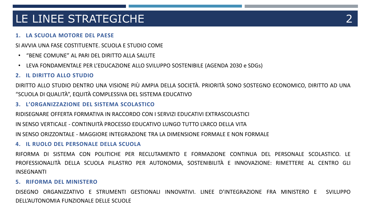# LE LINEE STRATEGICHE

### **1. LA SCUOLA MOTORE DEL PAESE**

SI AVVIA UNA FASE COSTITUENTE. SCUOLA E STUDIO COME

- "BENE COMUNE" AL PARI DEL DIRITTO ALLA SALUTE
- LEVA FONDAMENTALE PER L'EDUCAZIONE ALLO SVILUPPO SOSTENIBILE (AGENDA 2030 e SDGs)

#### **2. IL DIRITTO ALLO STUDIO**

DIRITTO ALLO STUDIO DENTRO UNA VISIONE PIÙ AMPIA DELLA SOCIETÀ. PRIORITÀ SONO SOSTEGNO ECONOMICO, DIRITTO AD UNA "SCUOLA DI QUALITÀ", EQUITÀ COMPLESSIVA DEL SISTEMA EDUCATIVO

#### **3. L'ORGANIZZAZIONE DEL SISTEMA SCOLASTICO**

RIDISEGNARE OFFERTA FORMATIVA IN RACCORDO CON I SERVIZI EDUCATIVI EXTRASCOLASTICI IN SENSO VERTICALE - CONTINUITÀ PROCESSO EDUCATIVO LUNGO TUTTO L'ARCO DELLA VITA

IN SENSO ORIZZONTALE - MAGGIORE INTEGRAZIONE TRA LA DIMENSIONE FORMALE E NON FORMALE

#### **4. IL RUOLO DEL PERSONALE DELLA SCUOLA**

RIFORMA DI SISTEMA CON POLITICHE PER RECLUTAMENTO E FORMAZIONE CONTINUA DEL PERSONALE SCOLASTICO. LE PROFESSIONALITÀ DELLA SCUOLA PILASTRO PER AUTONOMIA, SOSTENIBILITÀ E INNOVAZIONE: RIMETTERE AL CENTRO GLI INSEGNANTI

#### **5. RIFORMA DEL MINISTERO**

DISEGNO ORGANIZZATIVO E STRUMENTI GESTIONALI INNOVATIVI. LINEE D'INTEGRAZIONE FRA MINISTERO E SVILUPPO DELL'AUTONOMIA FUNZIONALE DELLE SCUOLE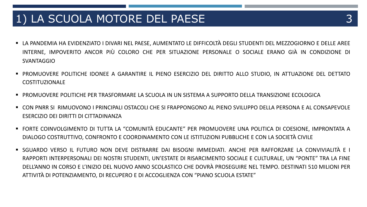### 1) LA SCUOLA MOTORE DEL PAESE 3

- LA PANDEMIA HA EVIDENZIATO I DIVARI NEL PAESE, AUMENTATO LE DIFFICOLTÀ DEGLI STUDENTI DEL MEZZOGIORNO E DELLE AREE INTERNE, IMPOVERITO ANCOR PIÙ COLORO CHE PER SITUAZIONE PERSONALE O SOCIALE ERANO GIÀ IN CONDIZIONE DI **SVANTAGGIO**
- PROMUOVERE POLITICHE IDONEE A GARANTIRE IL PIENO ESERCIZIO DEL DIRITTO ALLO STUDIO, IN ATTUAZIONE DEL DETTATO COSTITUZIONALE
- PROMUOVERE POLITICHE PER TRASFORMARE LA SCUOLA IN UN SISTEMA A SUPPORTO DELLA TRANSIZIONE ECOLOGICA
- CON PNRR SI RIMUOVONO I PRINCIPALI OSTACOLI CHE SI FRAPPONGONO AL PIENO SVILUPPO DELLA PERSONA E AL CONSAPEVOLE ESERCIZIO DEI DIRITTI DI CITTADINANZA
- FORTE COINVOLGIMENTO DI TUTTA LA "COMUNITÀ EDUCANTE" PER PROMUOVERE UNA POLITICA DI COESIONE, IMPRONTATA A DIALOGO COSTRUTTIVO, CONFRONTO E COORDINAMENTO CON LE ISTITUZIONI PUBBLICHE E CON LA SOCIETÀ CIVILE
- SGUARDO VERSO IL FUTURO NON DEVE DISTRARRE DAI BISOGNI IMMEDIATI. ANCHE PER RAFFORZARE LA CONVIVIALITÀ E I RAPPORTI INTERPERSONALI DEI NOSTRI STUDENTI, UN'ESTATE DI RISARCIMENTO SOCIALE E CULTURALE, UN "PONTE" TRA LA FINE DELL'ANNO IN CORSO E L'INIZIO DEL NUOVO ANNO SCOLASTICO CHE DOVRÀ PROSEGUIRE NEL TEMPO. DESTINATI 510 MILIONI PER ATTIVITÀ DI POTENZIAMENTO, DI RECUPERO E DI ACCOGLIENZA CON "PIANO SCUOLA ESTATE"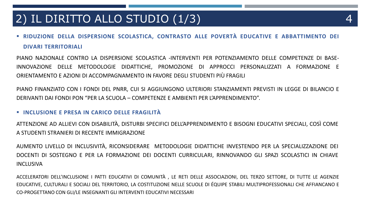# 2) IL DIRITTO ALLO STUDIO (1/3) 4

 **RIDUZIONE DELLA DISPERSIONE SCOLASTICA, CONTRASTO ALLE POVERTÀ EDUCATIVE <sup>E</sup> ABBATTIMENTO DEI DIVARI TERRITORIALI**

PIANO NAZIONALE CONTRO LA DISPERSIONE SCOLASTICA -INTERVENTI PER POTENZIAMENTO DELLE COMPETENZE DI BASE-INNOVAZIONE DELLE METODOLOGIE DIDATTICHE, PROMOZIONE DI APPROCCI PERSONALIZZATI A FORMAZIONE E ORIENTAMENTO E AZIONI DI ACCOMPAGNAMENTO IN FAVORE DEGLI STUDENTI PIÙ FRAGILI

PIANO FINANZIATO CON I FONDI DEL PNRR, CUI SI AGGIUNGONO ULTERIORI STANZIAMENTI PREVISTI IN LEGGE DI BILANCIO E DERIVANTI DAI FONDI PON "PER LA SCUOLA – COMPETENZE E AMBIENTI PER L'APPRENDIMENTO".

#### **INCLUSIONE E PRESA IN CARICO DELLE FRAGILITÀ**

ATTENZIONE AD ALLIEVI CON DISABILITÀ, DISTURBI SPECIFICI DELL'APPRENDIMENTO E BISOGNI EDUCATIVI SPECIALI, COSÌ COME A STUDENTI STRANIERI DI RECENTE IMMIGRAZIONE

AUMENTO LIVELLO DI INCLUSIVITÀ, RICONSIDERARE METODOLOGIE DIDATTICHE INVESTENDO PER LA SPECIALIZZAZIONE DEI DOCENTI DI SOSTEGNO E PER LA FORMAZIONE DEI DOCENTI CURRICULARI, RINNOVANDO GLI SPAZI SCOLASTICI IN CHIAVE INCLUSIVA

ACCELERATORI DELL'INCLUSIONE I PATTI EDUCATIVI DI COMUNITÀ , LE RETI DELLE ASSOCIAZIONI, DEL TERZO SETTORE, DI TUTTE LE AGENZIE EDUCATIVE, CULTURALI E SOCIALI DEL TERRITORIO, LA COSTITUZIONE NELLE SCUOLE DI ÉQUIPE STABILI MULTIPROFESSIONALI CHE AFFIANCANO E CO-PROGETTANO CON GLI/LE INSEGNANTI GLI INTERVENTI EDUCATIVI NECESSARI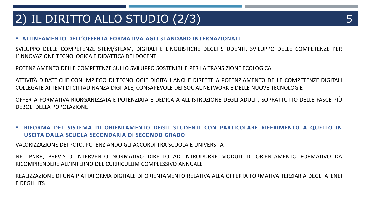# 2) IL DIRITTO ALLO STUDIO (2/3)

#### **ALLINEAMENTO DELL'OFFERTA FORMATIVA AGLI STANDARD INTERNAZIONALI**

SVILUPPO DELLE COMPETENZE STEM/STEAM, DIGITALI E LINGUISTICHE DEGLI STUDENTI, SVILUPPO DELLE COMPETENZE PER L'INNOVAZIONE TECNOLOGICA E DIDATTICA DEI DOCENTI

POTENZIAMENTO DELLE COMPETENZE SULLO SVILUPPO SOSTENIBILE PER LA TRANSIZIONE ECOLOGICA

ATTIVITÀ DIDATTICHE CON IMPIEGO DI TECNOLOGIE DIGITALI ANCHE DIRETTE A POTENZIAMENTO DELLE COMPETENZE DIGITALI COLLEGATE AI TEMI DI CITTADINANZA DIGITALE, CONSAPEVOLE DEI SOCIAL NETWORK E DELLE NUOVE TECNOLOGIE

OFFERTA FORMATIVA RIORGANIZZATA E POTENZIATA E DEDICATA ALL'ISTRUZIONE DEGLI ADULTI, SOPRATTUTTO DELLE FASCE PIÙ DEBOLI DELLA POPOLAZIONE

 **RIFORMA DEL SISTEMA DI ORIENTAMENTO DEGLI STUDENTI CON PARTICOLARE RIFERIMENTO A QUELLO IN USCITA DALLA SCUOLA SECONDARIA DI SECONDO GRADO**

VALORIZZAZIONE DEI PCTO, POTENZIANDO GLI ACCORDI TRA SCUOLA E UNIVERSITÀ

NEL PNRR, PREVISTO INTERVENTO NORMATIVO DIRETTO AD INTRODURRE MODULI DI ORIENTAMENTO FORMATIVO DA RICOMPRENDERE ALL'INTERNO DEL CURRICULUM COMPLESSIVO ANNUALE

REALIZZAZIONE DI UNA PIATTAFORMA DIGITALE DI ORIENTAMENTO RELATIVA ALLA OFFERTA FORMATIVA TERZIARIA DEGLI ATENEI E DEGLI ITS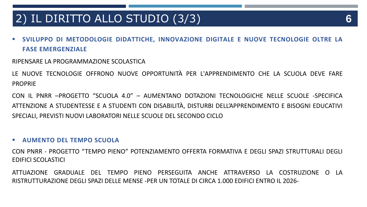# 2) IL DIRITTO ALLO STUDIO (3/3) **6**

 **SVILUPPO DI METODOLOGIE DIDATTICHE, INNOVAZIONE DIGITALE E NUOVE TECNOLOGIE OLTRE LA FASE EMERGENZIALE**

### RIPENSARE LA PROGRAMMAZIONE SCOLASTICA

LE NUOVE TECNOLOGIE OFFRONO NUOVE OPPORTUNITÀ PER L'APPRENDIMENTO CHE LA SCUOLA DEVE FARE PROPRIE

CON IL PNRR –PROGETTO "SCUOLA 4.0" – AUMENTANO DOTAZIONI TECNOLOGICHE NELLE SCUOLE -SPECIFICA ATTENZIONE A STUDENTESSE E A STUDENTI CON DISABILITÀ, DISTURBI DELL'APPRENDIMENTO E BISOGNI EDUCATIVI SPECIALI, PREVISTI NUOVI LABORATORI NELLE SCUOLE DEL SECONDO CICLO

#### **AUMENTO DEL TEMPO SCUOLA**

CON PNRR - PROGETTO "TEMPO PIENO" POTENZIAMENTO OFFERTA FORMATIVA E DEGLI SPAZI STRUTTURALI DEGLI EDIFICI SCOLASTICI

ATTUAZIONE GRADUALE DEL TEMPO PIENO PERSEGUITA ANCHE ATTRAVERSO LA COSTRUZIONE O LA RISTRUTTURAZIONE DEGLI SPAZI DELLE MENSE -PER UN TOTALE DI CIRCA 1.000 EDIFICI ENTRO IL 2026-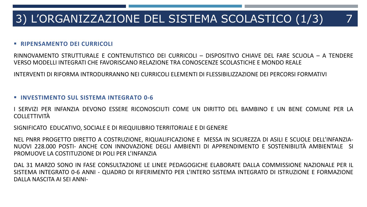# 3) L'ORGANIZZAZIONE DEL SISTEMA SCOLASTICO (1/3) 7

#### **RIPENSAMENTO DEI CURRICOLI**

RINNOVAMENTO STRUTTURALE E CONTENUTISTICO DEI CURRICOLI – DISPOSITIVO CHIAVE DEL FARE SCUOLA – A TENDERE VERSO MODELLI INTEGRATI CHE FAVORISCANO RELAZIONE TRA CONOSCENZE SCOLASTICHE E MONDO REALE

INTERVENTI DI RIFORMA INTRODURRANNO NEI CURRICOLI ELEMENTI DI FLESSIBILIZZAZIONE DEI PERCORSI FORMATIVI

#### **INVESTIMENTO SUL SISTEMA INTEGRATO 0-6**

I SERVIZI PER INFANZIA DEVONO ESSERE RICONOSCIUTI COME UN DIRITTO DEL BAMBINO E UN BENE COMUNE PER LA COLLETTIVITÀ

SIGNIFICATO EDUCATIVO, SOCIALE E DI RIEQUILIBRIO TERRITORIALE E DI GENERE

NEL PNRR PROGETTO DIRETTO A COSTRUZIONE, RIQUALIFICAZIONE E MESSA IN SICUREZZA DI ASILI E SCUOLE DELL'INFANZIA-NUOVI 228.000 POSTI- ANCHE CON INNOVAZIONE DEGLI AMBIENTI DI APPRENDIMENTO E SOSTENIBILITÀ AMBIENTALE SI PROMUOVE LA COSTITUZIONE DI POLI PER L'INFANZIA

DAL 31 MARZO SONO IN FASE CONSULTAZIONE LE LINEE PEDAGOGICHE ELABORATE DALLA COMMISSIONE NAZIONALE PER IL SISTEMA INTEGRATO 0-6 ANNI - QUADRO DI RIFERIMENTO PER L'INTERO SISTEMA INTEGRATO DI ISTRUZIONE E FORMAZIONE DALLA NASCITA AI SEI ANNI-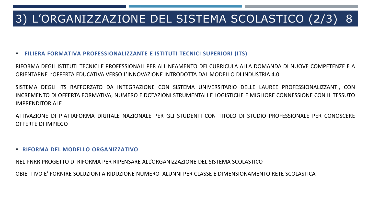# 3) L'ORGANIZZAZIONE DEL SISTEMA SCOLASTICO (2/3) 8

#### **FILIERA FORMATIVA PROFESSIONALIZZANTE E ISTITUTI TECNICI SUPERIORI (ITS)**

RIFORMA DEGLI ISTITUTI TECNICI E PROFESSIONALI PER ALLINEAMENTO DEI CURRICULA ALLA DOMANDA DI NUOVE COMPETENZE E A ORIENTARNE L'OFFERTA EDUCATIVA VERSO L'INNOVAZIONE INTRODOTTA DAL MODELLO DI INDUSTRIA 4.0.

SISTEMA DEGLI ITS RAFFORZATO DA INTEGRAZIONE CON SISTEMA UNIVERSITARIO DELLE LAUREE PROFESSIONALIZZANTI, CON INCREMENTO DI OFFERTA FORMATIVA, NUMERO E DOTAZIONI STRUMENTALI E LOGISTICHE E MIGLIORE CONNESSIONE CON IL TESSUTO IMPRENDITORIALE

ATTIVAZIONE DI PIATTAFORMA DIGITALE NAZIONALE PER GLI STUDENTI CON TITOLO DI STUDIO PROFESSIONALE PER CONOSCERE OFFERTE DI IMPIEGO

#### **RIFORMA DEL MODELLO ORGANIZZATIVO**

NEL PNRR PROGETTO DI RIFORMA PER RIPENSARE ALL'ORGANIZZAZIONE DEL SISTEMA SCOLASTICO

OBIETTIVO E' FORNIRE SOLUZIONI A RIDUZIONE NUMERO ALUNNI PER CLASSE E DIMENSIONAMENTO RETE SCOLASTICA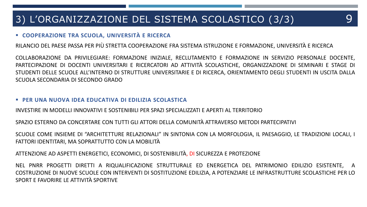### 3) L'ORGANIZZAZIONE DEL SISTEMA SCOLASTICO (3/3) 9

### **COOPERAZIONE TRA SCUOLA, UNIVERSITÀ <sup>E</sup> RICERCA**

RILANCIO DEL PAESE PASSA PER PIÙ STRETTA COOPERAZIONE FRA SISTEMA ISTRUZIONE E FORMAZIONE, UNIVERSITÀ E RICERCA

COLLABORAZIONE DA PRIVILEGIARE: FORMAZIONE INIZIALE, RECLUTAMENTO E FORMAZIONE IN SERVIZIO PERSONALE DOCENTE, PARTECIPAZIONE DI DOCENTI UNIVERSITARI E RICERCATORI AD ATTIVITÀ SCOLASTICHE, ORGANIZZAZIONE DI SEMINARI E STAGE DI STUDENTI DELLE SCUOLE ALL'INTERNO DI STRUTTURE UNIVERSITARIE E DI RICERCA, ORIENTAMENTO DEGLI STUDENTI IN USCITA DALLA SCUOLA SECONDARIA DI SECONDO GRADO

#### **PER UNA NUOVA IDEA EDUCATIVA DI EDILIZIA SCOLASTICA**

INVESTIRE IN MODELLI INNOVATIVI E SOSTENIBILI PER SPAZI SPECIALIZZATI E APERTI AL TERRITORIO

SPAZIO ESTERNO DA CONCERTARE CON TUTTI GLI ATTORI DELLA COMUNITÀ ATTRAVERSO METODI PARTECIPATIVI

SCUOLE COME INSIEME DI "ARCHITETTURE RELAZIONALI" IN SINTONIA CON LA MORFOLOGIA, IL PAESAGGIO, LE TRADIZIONI LOCALI, I FATTORI IDENTITARI, MA SOPRATTUTTO CON LA MOBILITÀ

ATTENZIONE AD ASPETTI ENERGETICI, ECONOMICI, DI SOSTENIBILITÀ, DI SICUREZZA E PROTEZIONE

NEL PNRR PROGETTI DIRETTI A RIQUALIFICAZIONE STRUTTURALE ED ENERGETICA DEL PATRIMONIO EDILIZIO ESISTENTE, A COSTRUZIONE DI NUOVE SCUOLE CON INTERVENTI DI SOSTITUZIONE EDILIZIA, A POTENZIARE LE INFRASTRUTTURE SCOLASTICHE PER LO SPORT E FAVORIRE LE ATTIVITÀ SPORTIVE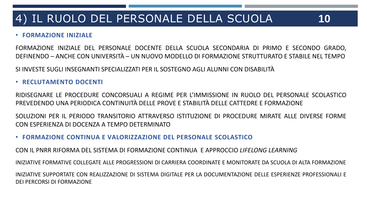### • **FORMAZIONE INIZIALE**

FORMAZIONE INIZIALE DEL PERSONALE DOCENTE DELLA SCUOLA SECONDARIA DI PRIMO E SECONDO GRADO, DEFINENDO – ANCHE CON UNIVERSITÀ – UN NUOVO MODELLO DI FORMAZIONE STRUTTURATO E STABILE NEL TEMPO

SI INVESTE SUGLI INSEGNANTI SPECIALIZZATI PER IL SOSTEGNO AGLI ALUNNI CON DISABILITÀ

### • **RECLUTAMENTO DOCENTI**

RIDISEGNARE LE PROCEDURE CONCORSUALI A REGIME PER L'IMMISSIONE IN RUOLO DEL PERSONALE SCOLASTICO PREVEDENDO UNA PERIODICA CONTINUITÀ DELLE PROVE E STABILITÀ DELLE CATTEDRE E FORMAZIONE

SOLUZIONI PER IL PERIODO TRANSITORIO ATTRAVERSO ISTITUZIONE DI PROCEDURE MIRATE ALLE DIVERSE FORME CON ESPERIENZA DI DOCENZA A TEMPO DETERMINATO

### • **FORMAZIONE CONTINUA E VALORIZZAZIONE DEL PERSONALE SCOLASTICO**

CON IL PNRR RIFORMA DEL SISTEMA DI FORMAZIONE CONTINUA E APPROCCIO *LIFELONG LEARNING*

INIZIATIVE FORMATIVE COLLEGATE ALLE PROGRESSIONI DI CARRIERA COORDINATE E MONITORATE DA SCUOLA DI ALTA FORMAZIONE

INIZIATIVE SUPPORTATE CON REALIZZAZIONE DI SISTEMA DIGITALE PER LA DOCUMENTAZIONE DELLE ESPERIENZE PROFESSIONALI E DEI PERCORSI DI FORMAZIONE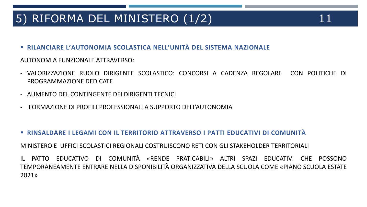# 5) RIFORMA DEL MINISTERO (1/2) 11

- 
- **RILANCIARE L'AUTONOMIA SCOLASTICA NELL'UNITÀ DEL SISTEMA NAZIONALE**

AUTONOMIA FUNZIONALE ATTRAVERSO:

- VALORIZZAZIONE RUOLO DIRIGENTE SCOLASTICO: CONCORSI A CADENZA REGOLARE CON POLITICHE DI PROGRAMMAZIONE DEDICATE
- AUMENTO DEL CONTINGENTE DEI DIRIGENTI TECNICI
- FORMAZIONE DI PROFILI PROFESSIONALI A SUPPORTO DELL'AUTONOMIA
- **RINSALDARE I LEGAMI CON IL TERRITORIO ATTRAVERSO I PATTI EDUCATIVI DI COMUNITÀ**

MINISTERO E UFFICI SCOLASTICI REGIONALI COSTRUISCONO RETI CON GLI STAKEHOLDER TERRITORIALI

IL PATTO EDUCATIVO DI COMUNITÀ «RENDE PRATICABILI» ALTRI SPAZI EDUCATIVI CHE POSSONO TEMPORANEAMENTE ENTRARE NELLA DISPONIBILITÀ ORGANIZZATIVA DELLA SCUOLA COME «PIANO SCUOLA ESTATE 2021»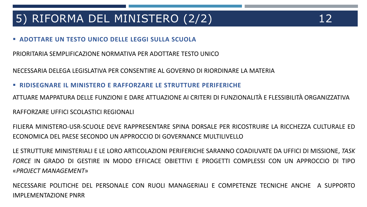# 5) RIFORMA DEL MINISTERO (2/2) 12

### **ADOTTARE UN TESTO UNICO DELLE LEGGI SULLA SCUOLA**

PRIORITARIA SEMPLIFICAZIONE NORMATIVA PER ADOTTARE TESTO UNICO

NECESSARIA DELEGA LEGISLATIVA PER CONSENTIRE AL GOVERNO DI RIORDINARE LA MATERIA

**RIDISEGNARE IL MINISTERO E RAFFORZARE LE STRUTTURE PERIFERICHE**

ATTUARE MAPPATURA DELLE FUNZIONI E DARE ATTUAZIONE AI CRITERI DI FUNZIONALITÀ E FLESSIBILITÀ ORGANIZZATIVA

RAFFORZARE UFFICI SCOLASTICI REGIONALI

FILIERA MINISTERO-USR-SCUOLE DEVE RAPPRESENTARE SPINA DORSALE PER RICOSTRUIRE LA RICCHEZZA CULTURALE ED ECONOMICA DEL PAESE SECONDO UN APPROCCIO DI GOVERNANCE MULTILIVELLO

LE STRUTTURE MINISTERIALI E LE LORO ARTICOLAZIONI PERIFERICHE SARANNO COADIUVATE DA UFFICI DI MISSIONE, *TASK FORCE* IN GRADO DI GESTIRE IN MODO EFFICACE OBIETTIVI E PROGETTI COMPLESSI CON UN APPROCCIO DI TIPO «*PROJECT MANAGEMENT*»

NECESSARIE POLITICHE DEL PERSONALE CON RUOLI MANAGERIALI E COMPETENZE TECNICHE ANCHE A SUPPORTO IMPLEMENTAZIONE PNRR